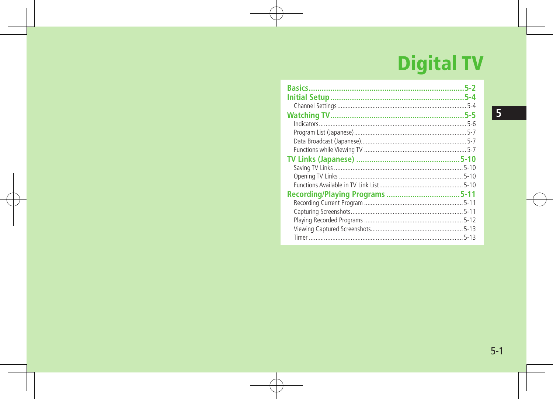# **Digital TV**

| 5-2      |
|----------|
| 5-4      |
|          |
| 5-5      |
|          |
|          |
|          |
|          |
|          |
|          |
|          |
|          |
|          |
|          |
|          |
|          |
|          |
| $5 - 13$ |

5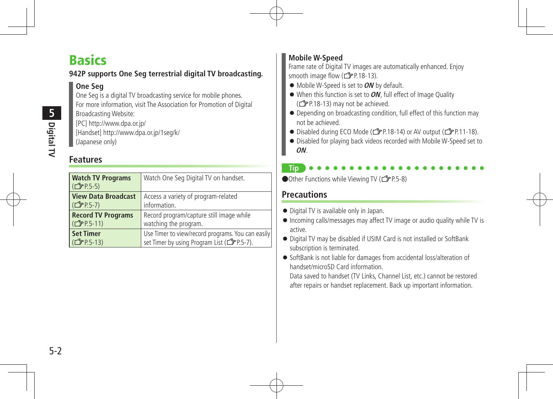## **Basics**

### **942P supports One Seg terrestrial digital TV broadcasting.**

### **One Seg**

One Seg is a digital TV broadcasting service for mobile phones. For more information, visit The Association for Promotion of Digital Broadcasting Website:

[PC] http://www.dpa.or.jp/ [Handset] http://www.dpa.or.jp/1seg/k/ (Japanese only)

## **Features**

| <b>Watch TV Programs</b><br>$(\mathbb{C}$ P.5-5) | Watch One Seg Digital TV on handset.                    |
|--------------------------------------------------|---------------------------------------------------------|
| <b>View Data Broadcast</b>                       | Access a variety of program-related                     |
| $(\mathbb{Z}$ P.5-7)                             | information.                                            |
| <b>Record TV Programs</b>                        | Record program/capture still image while                |
| (子P.5-11)                                        | watching the program.                                   |
| <b>Set Timer</b>                                 | Use Timer to view/record programs. You can easily       |
| ( <del>f</del> P.5-13)                           | set Timer by using Program List ( <a>[&gt;PP.5-7]</a> . |

### **Mobile W-Speed**

Frame rate of Digital TV images are automatically enhanced. Enjoy smooth image flow ( $\mathcal{F}$ P.18-13).

- Mobile W-Speed is set to**ON** by default.
- When this function is set to **ON**, full effect of Image Quality  $(\mathbb{Z}\mathbb{P}P.18-13)$  may not be achieved.
- Depending on broadcasting condition, full effect of this function may not be achieved.
- Disabled during ECO Mode (<del></del> $f$ P.18-14) or AV output ( $f$ P.11-18).
- Disabled for playing back videos recorded with Mobile W-Speed set to **ON**.

**Tip**

● Other Functions while Viewing TV ( $\widehat{\mathbb{Z}}$ P.5-8)

## **Precautions**

- Digital TV is available only in Japan.
- Incoming calls/messages may affect TV image or audio quality while TV is active.
- Digital TV may be disabled if USIM Card is not installed or SoftBank subscription is terminated.
- SoftBank is not liable for damages from accidental loss/alteration of handset/microSD Card information.

Data saved to handset (TV Links, Channel List, etc.) cannot be restored after repairs or handset replacement. Back up important information.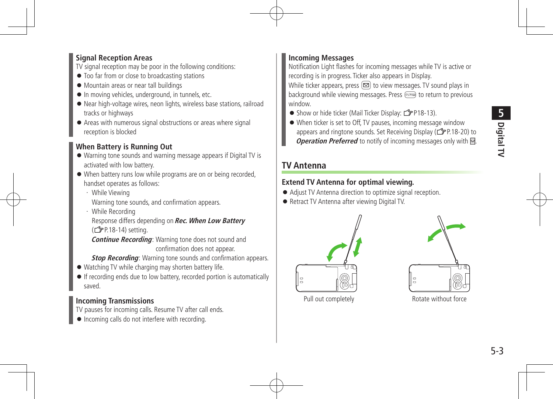#### **Signal Reception Areas**

TV signal reception may be poor in the following conditions:

- $\bullet$  Too far from or close to broadcasting stations
- Mountain areas or near tall buildings
- In moving vehicles, underground, in tunnels, etc.
- Near high-voltage wires, neon lights, wireless base stations, railroad tracks or highways
- Areas with numerous signal obstructions or areas where signal reception is blocked

#### **When Battery is Running Out**

- Warning tone sounds and warning message appears if Digital TV is activated with low battery.
- When battery runs low while programs are on or being recorded, handset operates as follows:
	- ・ While Viewing

Warning tone sounds, and confirmation appears.

・ While Recording 

Response differs depending on **Rec. When Low Battery** (<del>]</del> P.18-14) setting.

**Continue Recording:** Warning tone does not sound and confirmation does not appear.

**Stop Recording:** Warning tone sounds and confirmation appears.

- Watching TV while charging may shorten battery life.
- If recording ends due to low battery, recorded portion is automatically saved.

#### **Incoming Transmissions**

TV pauses for incoming calls. Resume TV after call ends.

 $\bullet$  Incoming calls do not interfere with recording.

#### **Incoming Messages**

Notification Light flashes for incoming messages while TV is active or recording is in progress. Ticker also appears in Display.

While ticker appears, press  $\boxed{\infty}$  to view messages. TV sound plays in background while viewing messages. Press (primar to return to previous window.

- Show or hide ticker (Mail Ticker Display:  $\mathbb{Z}$ P18-13).
- When ticker is set to Off, TV pauses, incoming message window appears and ringtone sounds. Set Receiving Display (ZP.18-20) to **Operation Preferred** to notify of incoming messages only with  $\blacksquare$ .

#### **TV Antenna**

#### **Extend TV Antenna for optimal viewing.**

- Adjust TV Antenna direction to optimize signal reception.
- Retract TV Antenna after viewing Digital TV.





Pull out completely **Rotate without force**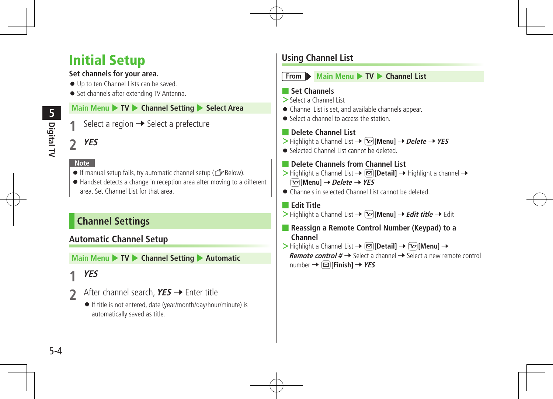## Initial Setup

#### **Set channels for your area.**

- Up to ten Channel Lists can be saved.
- Set channels after extending TV Antenna.

#### **Main Menu** 4 **TV** 4 **Channel Setting** 4 **Select Area**

Select a region  $\rightarrow$  Select a prefecture

## **2 YES**

#### **Note**

- $\bullet$  If manual setup fails, try automatic channel setup ( $\circled{F}$  Below).
- Handset detects a change in reception area after moving to a different area. Set Channel List for that area.

## **Channel Settings**

## **Automatic Channel Setup**

**Main Menu ▶ TV ▶ Channel Setting ▶ Automatic** 

## **1 YES**

- **2** After channel search, **YES** → Enter title
	- If title is not entered, date (year/month/day/hour/minute) is automatically saved as title.

## **Using Channel List**



**From Main Menu + TV Channel List** 

#### ■ **Set Channels**

- **>**Select a Channel List
- Channel List is set, and available channels appear.
- Select a channel to access the station

#### ■ **Delete Channel List**

- $\triangleright$  Highlight a Channel List  $\rightarrow \widehat{Y}$  [Menu]  $\rightarrow$  *Delete*  $\rightarrow$  *YES*
- Selected Channel List cannot be deleted.
- **Delete Channels from Channel List**
- $\triangleright$  Highlight a Channel List  $\rightarrow \lbrack \mathfrak{D} \rbrack$  **[Detail]**  $\rightarrow$  Highlight a channel  $\rightarrow$ S**[Menu]** 7**Delete** 7**YES**
- Channels in selected Channel List cannot be deleted.

■ **Edit Title**

- $\triangleright$  Highlight a Channel List  $\rightarrow \boxed{\mathbf{x}}$  **[Menu]**  $\rightarrow$  *Edit title*  $\rightarrow$  Edit
- **Reassign a Remote Control Number (Keypad) to a Channel**
- $\triangleright$  Highlight a Channel List  $\rightarrow \lbrack \mathfrak{D} \rbrack$  **Detail**  $\rbrack \rightarrow \lbrack \mathfrak{D} \rbrack$  **Menu** $\rbrack \rightarrow$ **Remote control**  $# \rightarrow$  Select a channel  $\rightarrow$  Select a new remote control  $number \rightarrow \boxed{\infty}$  **[Finish]**  $\rightarrow$  **YES**

**5**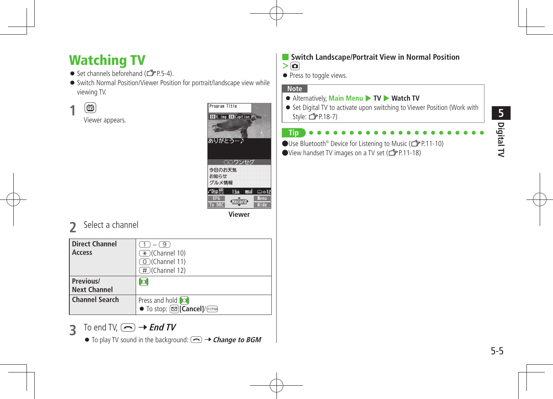## Watching TV

- $\bullet$  Set channels beforehand ( $\mathcal{F}$ P.5-4).
- Switch Normal Position/Viewer Position for portrait/landscape view while viewing TV.

**1** <sup>1</sup>

Viewer appears.



**2** Select <sup>a</sup> channel

| <b>Direct Channel</b><br>Access  | $-\left(\overline{9}\right)$<br>$(\overline{\star})$ (Channel 10)<br>(O)(Channel 11)<br>(#)(Channel 12) |
|----------------------------------|---------------------------------------------------------------------------------------------------------|
| Previous/<br><b>Next Channel</b> | Ю                                                                                                       |
| <b>Channel Search</b>            | Press and hold [o]<br>• To stop: $\boxed{\text{C}$ Cancel]/ $\boxed{\text{C}$                           |

- **3** To end TV,  $\left(\frac{1}{2}\right) \rightarrow$  **End TV** 
	- $\bullet$  To play TV sound in the background:  $\textcircled{}\rightarrow$  **Change to BGM**
- **Switch Landscape/Portrait View in Normal Position**
- $>$  $\Omega$
- Press to toggle views.

#### **Note**

- Alternatively, Main Menu ▶ TV ▶ Watch TV
- Set Digital TV to activate upon switching to Viewer Position (Work with Style:  $F$ P.18-7)
- **Tip** ●Use Bluetooth<sup>®</sup> Device for Listening to Music (<del>1</del> P.11-10)  $\bullet$  View handset TV images on a TV set ( $\circ$ P.11-18)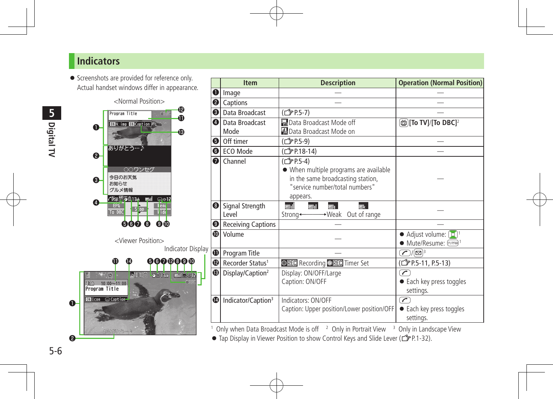### **Indicators**

**•** Screenshots are provided for reference only. Actual handset windows differ in appearance.



|   | <b>Item</b>                    | <b>Description</b>                                                                                                                                  | <b>Operation (Normal Position)</b>                                                             |
|---|--------------------------------|-----------------------------------------------------------------------------------------------------------------------------------------------------|------------------------------------------------------------------------------------------------|
| O | Image                          |                                                                                                                                                     |                                                                                                |
| ❷ | Captions                       |                                                                                                                                                     |                                                                                                |
| ❸ | Data Broadcast                 | ( 了P.5-7)                                                                                                                                           |                                                                                                |
| ❹ | Data Broadcast<br>Mode         | Data Broadcast Mode off<br>图Data Broadcast Mode on                                                                                                  | ලි)[To TV]/[To DBC] $^2$                                                                       |
| ❺ | Off timer                      | (CJPP.5-9)                                                                                                                                          |                                                                                                |
|   | <b>O</b> ECO Mode              | ( <del>f</del> P.18-14)                                                                                                                             |                                                                                                |
| ❼ | Channel                        | (C <sub>2</sub> P.5-4)<br>• When multiple programs are available<br>in the same broadcasting station,<br>"service number/total numbers"<br>appears. |                                                                                                |
| ❸ | Signal Strength<br>l evel      | EH.<br>ET.<br>EH<br>$\rightarrow$ Weak<br>Out of range<br>Strong-                                                                                   |                                                                                                |
| ❸ | <b>Receiving Captions</b>      |                                                                                                                                                     |                                                                                                |
| ❶ | Volume                         |                                                                                                                                                     | $\bullet$ Adjust volume: $\begin{pmatrix} 0 \\ 0 \end{pmatrix}$ <sup>1</sup><br>● Mute/Resume: |
| ❶ | Program Title                  |                                                                                                                                                     | $\mathcal{D}/\mathbb{Q}^3$                                                                     |
| ℗ | Recorder Status <sup>1</sup>   | OREC Recording OREC Timer Set                                                                                                                       | ( <sup>2</sup> P.5-11, P.5-13)                                                                 |
| ® | Display/Caption <sup>2</sup>   | Display: ON/OFF/Large<br>Caption: ON/OFF                                                                                                            | $\overline{\phantom{a}}$<br>• Each key press toggles<br>settings.                              |
| ❶ | Indicator/Caption <sup>3</sup> | Indicators: ON/OFF<br>Caption: Upper position/Lower position/OFF                                                                                    | $\overline{\mathscr{C}}$<br>• Each key press toggles<br>settings.                              |

<sup>1</sup> Only when Data Broadcast Mode is off <sup>2</sup> Only in Portrait View <sup>3</sup> Only in Landscape View

 $\bullet$  Tap Display in Viewer Position to show Control Keys and Slide Lever ( $\bullet$  P.1-32).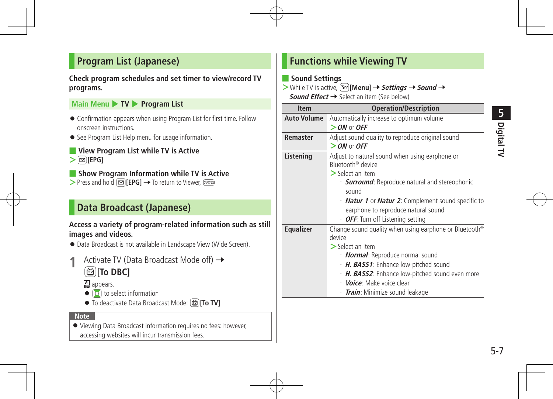### **Program List (Japanese)**

#### **Check program schedules and set timer to view/record TV programs.**

#### **Main Menu ▶ TV ▶ Program List**

- Confirmation appears when using Program List for first time. Follow onscreen instructions.
- **•** See Program List Help menu for usage information.

#### ■ **View Program List while TV is Active**  $>$  $\textcircled{=}$ **[EPG]**

■ **Show Program Information while TV is Active** > Press and hold **<u>
<br>
<br>
<br>
<br>
<b>EPG1**</u> → To return to Viewer,  $\sqrt{p_{\text{max}}}$ 

## **Data Broadcast (Japanese)**

#### **Access a variety of program-related information such as still images and videos.**

- Data Broadcast is not available in Landscape View (Wide Screen).
- **1** Activate TV (Data Broadcast Mode off) → 1**[To DBC]**

#### **관** appears.

- $\bullet$   $\sigma$  to select information
- To deactivate Data Broadcast Mode: **fo TV**

#### **Note**

 Viewing Data Broadcast information requires no fees: however, accessing websites will incur transmission fees.

## **Functions while Viewing TV**

#### ■ **Sound Settings**

 $>$  While TV is active,  $\boxed{\mathbf{Y}}$  [Menu]  $\rightarrow$  **Settings**  $\rightarrow$  **Sound**  $\rightarrow$ **Sound Effect**  $\rightarrow$  Select an item (See below)

| <b>Item</b>        | <b>Operation/Description</b>                                       |
|--------------------|--------------------------------------------------------------------|
| <b>Auto Volume</b> | Automatically increase to optimum volume                           |
|                    | $>$ ON or OFF                                                      |
| Remaster           | Adjust sound quality to reproduce original sound                   |
|                    | $>$ ON or OFF                                                      |
| Listening          | Adjust to natural sound when using earphone or                     |
|                    | Bluetooth <sup>®</sup> device                                      |
|                    | $>$ Select an item                                                 |
|                    | · <b>Surround</b> : Reproduce natural and stereophonic             |
|                    | sound                                                              |
|                    | · <b>Natur 1</b> or <b>Natur 2</b> : Complement sound specific to  |
|                    | earphone to reproduce natural sound                                |
|                    | • OFF: Turn off Listening setting                                  |
| <b>Equalizer</b>   | Change sound quality when using earphone or Bluetooth <sup>®</sup> |
|                    | device                                                             |
|                    | $\geq$ Select an item                                              |
|                    | · <b>Normal</b> : Reproduce normal sound                           |
|                    | H. BASS1: Enhance low-pitched sound                                |
|                    | · H. BASS2: Enhance low-pitched sound even more                    |
|                    | · <i>Voice</i> : Make voice clear                                  |
|                    | · <i>Train</i> : Minimize sound leakage                            |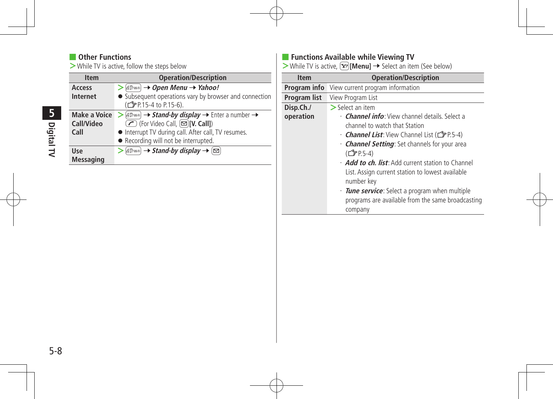#### ■ Other Functions

**>**While TV is active, follow the steps below

| <b>Item</b>         | <b>Operation/Description</b>                                                                                                                              |
|---------------------|-----------------------------------------------------------------------------------------------------------------------------------------------------------|
| Access              | $>$ $\beta$ <sub><i>S</i></sub> $\beta$ <sub><i>M<sub>ifi</sub></i><math>\rightarrow</math> <i>Open Menu</i> <math>\rightarrow</math> <i>Yahoo!</i></sub> |
| <b>Internet</b>     | • Subsequent operations vary by browser and connection                                                                                                    |
|                     | ( <del>f</del> P.15-4 to P.15-6).                                                                                                                         |
| <b>Make a Voice</b> | $\triangleright$ (E.P. wife) $\rightarrow$ Stand-by display $\rightarrow$ Enter a number $\rightarrow$                                                    |
| Call/Video          | $\overline{\textcircled{f}}$ (For Video Call, $\textcircled{f}$ [V. Call])                                                                                |
| Call                | • Interrupt TV during call. After call, TV resumes.                                                                                                       |
|                     | • Recording will not be interrupted.                                                                                                                      |
| Use                 | $\triangleright$ (SP/Wi-Fi) $\rightarrow$ Stand-by display $\rightarrow \lbrack \infty \rbrack$                                                           |
| <b>Messaging</b>    |                                                                                                                                                           |

#### ■ **Functions Available while Viewing TV**

 $\overline{\phantom{a}}$ 

**>**While TV is active,  $\mathbf{x}$ *j*[Menu] → Select an item (See below)

| <b>Item</b>  | <b>Operation/Description</b>                              |
|--------------|-----------------------------------------------------------|
| Program info | View current program information                          |
| Program list | View Program List                                         |
| Disp.Ch./    | $>$ Select an item                                        |
| operation    | • <b>Channel info</b> : View channel details. Select a    |
|              | channel to watch that Station                             |
|              | <b>Channel List:</b> View Channel List (CFP.5-4)          |
|              | · <b>Channel Setting</b> : Set channels for your area     |
|              | (CJP.5-4)                                                 |
|              | • <b>Add to ch. list</b> : Add current station to Channel |
|              | List. Assign current station to lowest available          |
|              | number key                                                |
|              | · <b>Tune service</b> : Select a program when multiple    |
|              | programs are available from the same broadcasting         |
|              | company                                                   |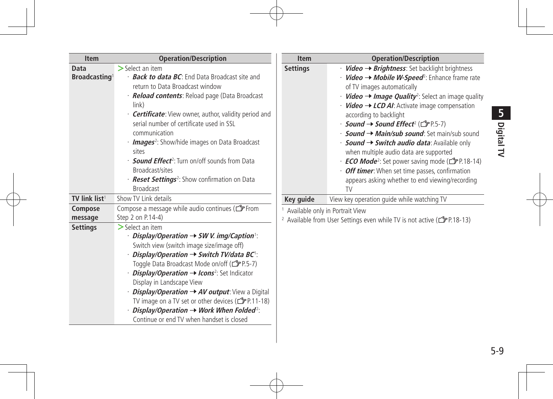| t<br>ï |
|--------|
|        |

| <b>Item</b>               | <b>Operation/Description</b>                                                                                    | <b>Item</b>     | <b>Operation/Description</b>                                                                   |
|---------------------------|-----------------------------------------------------------------------------------------------------------------|-----------------|------------------------------------------------------------------------------------------------|
| Data                      | $\geq$ Select an item                                                                                           | <b>Settings</b> | $\cdot$ Video $\rightarrow$ Brightness: Set backlight brightness                               |
| Broadcasting <sup>1</sup> | · <b>Back to data BC</b> : End Data Broadcast site and                                                          |                 | $\cdot$ <i>Video</i> $\rightarrow$ <i>Mobile W-Speed</i> <sup>2</sup> : Enhance frame rate     |
|                           | return to Data Broadcast window                                                                                 |                 | of TV images automatically                                                                     |
|                           | · Reload contents: Reload page (Data Broadcast                                                                  |                 | • <b>Video <math>\rightarrow</math> Image Quality</b> <sup>2</sup> : Select an image quality   |
|                           | link)                                                                                                           |                 | $\cdot$ <i>Video</i> $\rightarrow$ <i>LCD AI</i> : Activate image compensation                 |
|                           | · <b>Certificate</b> : View owner, author, validity period and                                                  |                 | according to backlight                                                                         |
|                           | serial number of certificate used in SSL                                                                        |                 | <i>• Sound → Sound Effect<sup>2</sup></i> ( <del>△</del> P.5-7)                                |
|                           | communication                                                                                                   |                 | $\cdot$ <b>Sound <math>\rightarrow</math> Main/sub sound</b> : Set main/sub sound              |
|                           | · <b>Images</b> <sup>2</sup> : Show/hide images on Data Broadcast                                               |                 | $\cdot$ Sound $\rightarrow$ Switch audio data: Available only                                  |
|                           | sites                                                                                                           |                 | when multiple audio data are supported                                                         |
|                           | · <b>Sound Effect</b> <sup>2</sup> : Turn on/off sounds from Data                                               |                 | <b>ECO Mode</b> <sup>2</sup> : Set power saving mode (CFP.18-14)                               |
|                           | Broadcast/sites                                                                                                 |                 | • Off timer: When set time passes, confirmation                                                |
|                           | · <b>Reset Settings</b> <sup>2</sup> : Show confirmation on Data<br><b>Broadcast</b>                            |                 | appears asking whether to end viewing/recording                                                |
|                           |                                                                                                                 |                 | <b>TV</b>                                                                                      |
| TV link list <sup>1</sup> | Show TV Link details                                                                                            | Key guide       | View key operation quide while watching TV                                                     |
| Compose                   | Compose a message while audio continues (CF From                                                                |                 | Available only in Portrait View                                                                |
| message                   | Step 2 on P.14-4)                                                                                               |                 | <sup>2</sup> Available from User Settings even while TV is not active ( $\mathcal{F}$ P.18-13) |
| <b>Settings</b>           | $\geq$ Select an item                                                                                           |                 |                                                                                                |
|                           | $\cdot$ Display/Operation $\rightarrow$ SW V. img/Caption $\cdot$                                               |                 |                                                                                                |
|                           | Switch view (switch image size/image off)                                                                       |                 |                                                                                                |
|                           | Display/Operation $\rightarrow$ Switch TV/data BC <sup>1</sup> :<br>Toggle Data Broadcast Mode on/off (CTP.5-7) |                 |                                                                                                |
|                           | $\cdot$ <i>Display/Operation <math>\rightarrow</math> Icons</i> <sup>2</sup> : Set Indicator                    |                 |                                                                                                |
|                           | Display in Landscape View                                                                                       |                 |                                                                                                |
|                           | <i>Display/Operation <math>\rightarrow</math> AV output:</i> View a Digital                                     |                 |                                                                                                |
|                           | TV image on a TV set or other devices ( $\mathbb{C}$ P.11-18)                                                   |                 |                                                                                                |
|                           | $\cdot$ Display/Operation $\rightarrow$ Work When Folded <sup>2</sup> :                                         |                 |                                                                                                |
|                           | Continue or end TV when handset is closed                                                                       |                 |                                                                                                |
|                           |                                                                                                                 |                 |                                                                                                |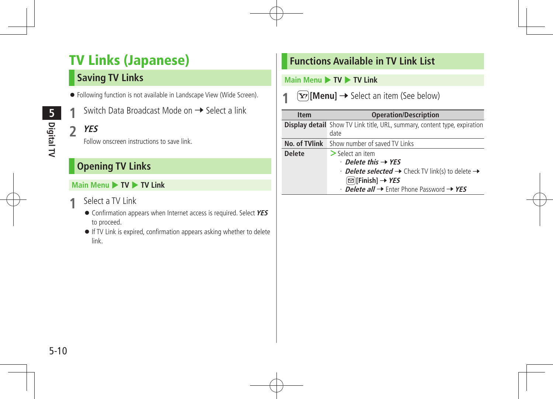## TV Links (Japanese)

## **Saving TV Links**

- Following function is not available in Landscape View (Wide Screen).
- Switch Data Broadcast Mode on → Select a link
- **2 YES**

Follow onscreen instructions to save link.

## **Opening TV Links**

#### **Main Menu ▶ TV ▶ TV Link**

- **1** Select <sup>a</sup> TV Link
	- Confirmation appears when Internet access is required. Select **YES** to proceed.
	- If TV Link is expired, confirmation appears asking whether to delete link.

## **Functions Available in TV Link List**

#### **Main Menu ▶ TV ▶ TV Link**

 $\mathbf{F}$  [Menu]  $\rightarrow$  Select an item (See below)

| <b>Item</b>   | <b>Operation/Description</b>                                                     |  |
|---------------|----------------------------------------------------------------------------------|--|
|               | <b>Display detail</b> Show TV Link title, URL, summary, content type, expiration |  |
|               | date                                                                             |  |
|               | <b>No. of TVlink</b> Show number of saved TV Links                               |  |
| <b>Delete</b> | $\geq$ Select an item                                                            |  |
|               | $\cdot$ Delete this $\rightarrow$ YES                                            |  |
|               | $\cdot$ Delete selected $\rightarrow$ Check TV link(s) to delete $\rightarrow$   |  |
|               | $\textcircled{=}$ [Finish] → YES                                                 |  |
|               | $\cdot$ Delete all $\rightarrow$ Enter Phone Password $\rightarrow$ YES          |  |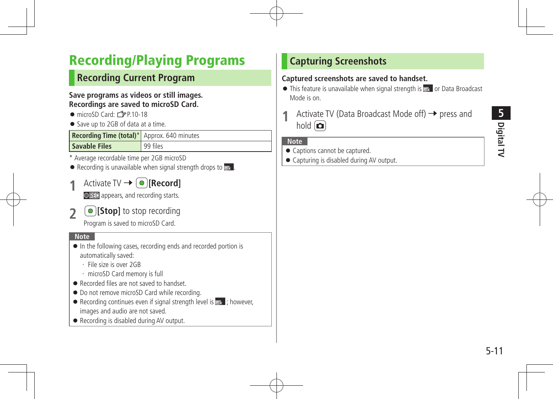# **Digital TV 5**

## Recording/Playing Programs

## **Recording Current Program**

#### **Save programs as videos or still images. Recordings are saved to microSD Card.**

- $\bullet$  microSD Card: $\mathcal{F}$ P.10-18
- Save up to 2GB of data at a time.

| <b>Recording Time (total)*</b> Approx. 640 minutes |          |
|----------------------------------------------------|----------|
| <b>Savable Files</b>                               | 99 files |

- \* Average recordable time per 2GB microSD
- $\bullet$  Recording is unavailable when signal strength drops to  $\bullet$ .
- **1 Activate TV →**  $\boxed{\bullet}$  **[Record]**

**OREC** appears, and recording starts.

**2 [Stop]** to stop recording

Program is saved to microSD Card.

#### **Note**

- $\bullet$  In the following cases, recording ends and recorded portion is automatically saved:
	- ・ File size is over 2GB
	- ・ microSD Card memory is full
- Recorded files are not saved to handset.
- $\bullet$  Do not remove microSD Card while recording.
- $\bullet$  Recording continues even if signal strength level is  $\bullet$  ; however, images and audio are not saved.
- Recording is disabled during AV output.

## **Capturing Screenshots**

#### **Captured screenshots are saved to handset.**

- $\bullet$  This feature is unavailable when signal strength is  $\bullet$  or Data Broadcast Mode is on.
- Activate TV (Data Broadcast Mode off)  $\rightarrow$  press and hold  $\Box$

#### **Note**

- Captions cannot be captured.
- Capturing is disabled during AV output.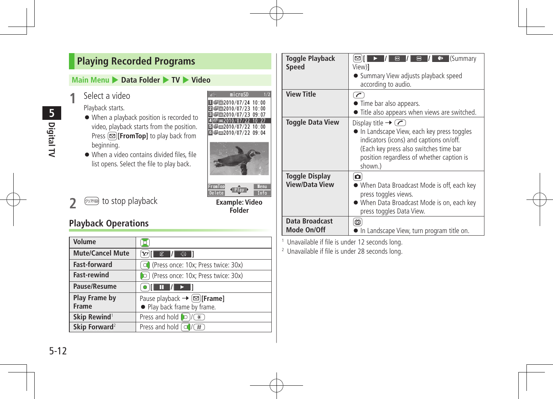## **Playing Recorded Programs**

#### **Main Menu** 4 **Data Folder** 4 **TV** 4 **Video**

Select a video

Playback starts.

- When a playback position is recorded to video, playback starts from the position. Press  $\boxed{\infty}$ **[FromTop]** to play back from beginning.
- When a video contains divided files, file list opens. Select the file to play back.

## **Playback Operations**

| Volume                        |                                                                              |
|-------------------------------|------------------------------------------------------------------------------|
| <b>Mute/Cancel Mute</b>       | 冢                                                                            |
| <b>Fast-forward</b>           | O (Press once: 10x; Press twice: 30x)                                        |
| <b>Fast-rewind</b>            | O (Press once: 10x; Press twice: 30x)                                        |
| Pause/Resume                  | $\begin{bmatrix} \bullet & \bullet & \bullet \end{bmatrix}$                  |
| <b>Play Frame by</b><br>Frame | Pause playback $\rightarrow \text{[}$ [Frame]<br>• Play back frame by frame. |
| Skip Rewind <sup>1</sup>      | Press and hold $\bigcirc$ /( $\overline{\ast}$ )                             |
| Skip Forward <sup>2</sup>     | Press and hold $\lceil \bigcirc \rceil$ /<br>$(\overline{H})$                |

**Example: Video Folder**

 $\leftarrow$  Play

Menu<br>Info

microSD Ⅱ 号画2010/07/24 10:00 図●■2010/07/23 10:00 図●■2010/07/23 09:07

 $0.10/07$ □ □ □ 2010/07/22 10:00 □□□2010/07/22 09:04

**ZIG** 

FromTop<br>Delete

1

| <b>Toggle Playback</b><br><b>Speed</b>  | $\blacksquare$ (Summary<br>$\boxed{m}$<br>e<br>$\boldsymbol{\Xi}$<br>View)1<br>• Summary View adjusts playback speed<br>according to audio.                                                                               |
|-----------------------------------------|---------------------------------------------------------------------------------------------------------------------------------------------------------------------------------------------------------------------------|
| <b>View Title</b>                       | $\tau$<br>• Time bar also appears.<br>• Title also appears when views are switched.                                                                                                                                       |
| <b>Toggle Data View</b>                 | Display title $\rightarrow$ (<br>• In Landscape View, each key press toggles<br>indicators (icons) and captions on/off.<br>(Each key press also switches time bar<br>position regardless of whether caption is<br>shown.) |
| Toggle Display<br><b>View/Data View</b> | o<br>• When Data Broadcast Mode is off, each key<br>press toggles views.<br>• When Data Broadcast Mode is on, each key<br>press toggles Data View.                                                                        |
| Data Broadcast<br>Mode On/Off           | 靣<br>In Landscape View, turn program title on.                                                                                                                                                                            |

 Unavailable if file is under 12 seconds long.

<sup>2</sup> Unavailable if file is under 28 seconds long.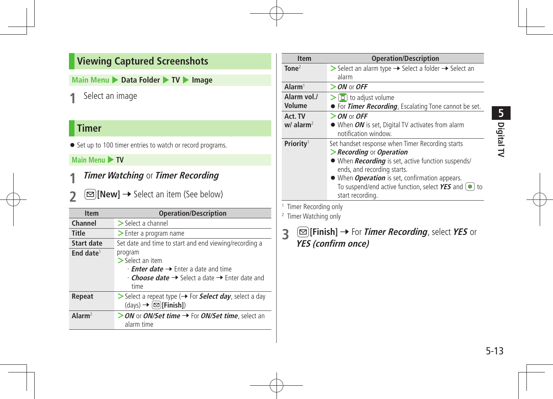## **Viewing Captured Screenshots**

**Main Menu** 4 **Data Folder** 4 **TV** 4 **Image**

**1** Select an image

## **Timer**

● Set up to 100 timer entries to watch or record programs.

#### **Main Menu > TV**

- **1 Timer Watching** or **Timer Recording**
- **2 [New]** → Select an item (See below)

| <b>Item</b>           | <b>Operation/Description</b>                                                                                                                                                                      |
|-----------------------|---------------------------------------------------------------------------------------------------------------------------------------------------------------------------------------------------|
| Channel               | $>$ Select a channel                                                                                                                                                                              |
| <b>Title</b>          | > Enter a program name                                                                                                                                                                            |
| Start date            | Set date and time to start and end viewing/recording a                                                                                                                                            |
| End date <sup>1</sup> | program<br>$>$ Select an item<br>$\cdot$ <b>Enter date <math>\rightarrow</math></b> Enter a date and time<br>$\cdot$ Choose date $\rightarrow$ Select a date $\rightarrow$ Enter date and<br>time |
| Repeat                | Select a repeat type ( ightharpoon Select day, select a day<br>$(\text{days}) \rightarrow (\text{2})$ [Finish])                                                                                   |
| Alarm <sup>2</sup>    | > ON or ON/Set time → For ON/Set time, select an<br>alarm time                                                                                                                                    |

| <b>Item</b>                        | <b>Operation/Description</b>                                                                                                                                                                                                                                                                                                                      |
|------------------------------------|---------------------------------------------------------------------------------------------------------------------------------------------------------------------------------------------------------------------------------------------------------------------------------------------------------------------------------------------------|
| $\text{Tone}^2$                    | Select an alarm type $\rightarrow$ Select a folder $\rightarrow$ Select an<br>alarm                                                                                                                                                                                                                                                               |
| $\mathsf{Alarm}^1$                 | $>$ ON or OFF                                                                                                                                                                                                                                                                                                                                     |
| Alarm vol./<br>Volume              | $\geq$ [O] to adjust volume<br>• For Timer Recording, Escalating Tone cannot be set.                                                                                                                                                                                                                                                              |
| Act. TV<br>$w/$ alarm <sup>2</sup> | $>$ ON or OFF<br>• When ON is set, Digital TV activates from alarm<br>notification window.                                                                                                                                                                                                                                                        |
| Priority <sup>1</sup>              | Set handset response when Timer Recording starts<br>$\geq$ Recording or Operation<br>• When <i>Recording</i> is set, active function suspends/<br>ends, and recording starts.<br>• When <i>Operation</i> is set, confirmation appears.<br>To suspend/end active function, select $YES$ and $\textcircled{\small{\bullet}}$ to<br>start recording. |

<sup>1</sup> Timer Recording only

#### <sup>2</sup> Timer Watching only

**3** <sup>A</sup>**[Finish]** <sup>7</sup> For **Timer Recording**, select **YES** or **YES (confirm once)**

**Digital TV**

**5**